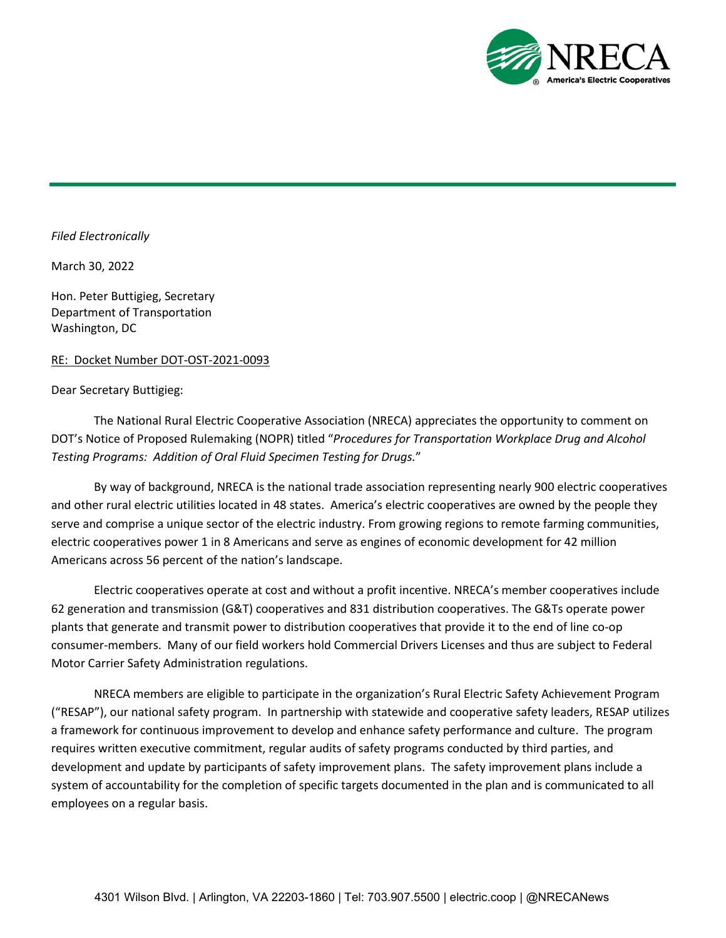

## *Filed Electronically*

March 30, 2022

Hon. Peter Buttigieg, Secretary Department of Transportation Washington, DC

## RE: Docket Number DOT-OST-2021-0093

## Dear Secretary Buttigieg:

The National Rural Electric Cooperative Association (NRECA) appreciates the opportunity to comment on DOT's Notice of Proposed Rulemaking (NOPR) titled "*Procedures for Transportation Workplace Drug and Alcohol Testing Programs: Addition of Oral Fluid Specimen Testing for Drugs.*"

By way of background, NRECA is the national trade association representing nearly 900 electric cooperatives and other rural electric utilities located in 48 states. America's electric cooperatives are owned by the people they serve and comprise a unique sector of the electric industry. From growing regions to remote farming communities, electric cooperatives power 1 in 8 Americans and serve as engines of economic development for 42 million Americans across 56 percent of the nation's landscape.

Electric cooperatives operate at cost and without a profit incentive. NRECA's member cooperatives include 62 generation and transmission (G&T) cooperatives and 831 distribution cooperatives. The G&Ts operate power plants that generate and transmit power to distribution cooperatives that provide it to the end of line co-op consumer-members. Many of our field workers hold Commercial Drivers Licenses and thus are subject to Federal Motor Carrier Safety Administration regulations.

NRECA members are eligible to participate in the organization's Rural Electric Safety Achievement Program ("RESAP"), our national safety program. In partnership with statewide and cooperative safety leaders, RESAP utilizes a framework for continuous improvement to develop and enhance safety performance and culture. The program requires written executive commitment, regular audits of safety programs conducted by third parties, and development and update by participants of safety improvement plans. The safety improvement plans include a system of accountability for the completion of specific targets documented in the plan and is communicated to all employees on a regular basis.